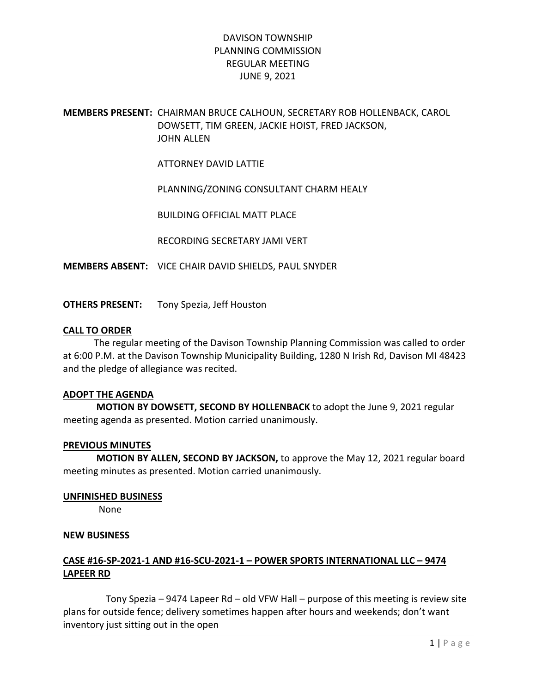## MEMBERS PRESENT: CHAIRMAN BRUCE CALHOUN, SECRETARY ROB HOLLENBACK, CAROL DOWSETT, TIM GREEN, JACKIE HOIST, FRED JACKSON, JOHN ALLEN

ATTORNEY DAVID LATTIE

PLANNING/ZONING CONSULTANT CHARM HEALY

BUILDING OFFICIAL MATT PLACE

RECORDING SECRETARY JAMI VERT

MEMBERS ABSENT: VICE CHAIR DAVID SHIELDS, PAUL SNYDER

OTHERS PRESENT: Tony Spezia, Jeff Houston

#### CALL TO ORDER

 The regular meeting of the Davison Township Planning Commission was called to order at 6:00 P.M. at the Davison Township Municipality Building, 1280 N Irish Rd, Davison MI 48423 and the pledge of allegiance was recited.

### ADOPT THE AGENDA

 MOTION BY DOWSETT, SECOND BY HOLLENBACK to adopt the June 9, 2021 regular meeting agenda as presented. Motion carried unanimously.

### PREVIOUS MINUTES

 MOTION BY ALLEN, SECOND BY JACKSON, to approve the May 12, 2021 regular board meeting minutes as presented. Motion carried unanimously.

### UNFINISHED BUSINESS

None

### NEW BUSINESS

### CASE #16-SP-2021-1 AND #16-SCU-2021-1 – POWER SPORTS INTERNATIONAL LLC – 9474 LAPEER RD

 Tony Spezia – 9474 Lapeer Rd – old VFW Hall – purpose of this meeting is review site plans for outside fence; delivery sometimes happen after hours and weekends; don't want inventory just sitting out in the open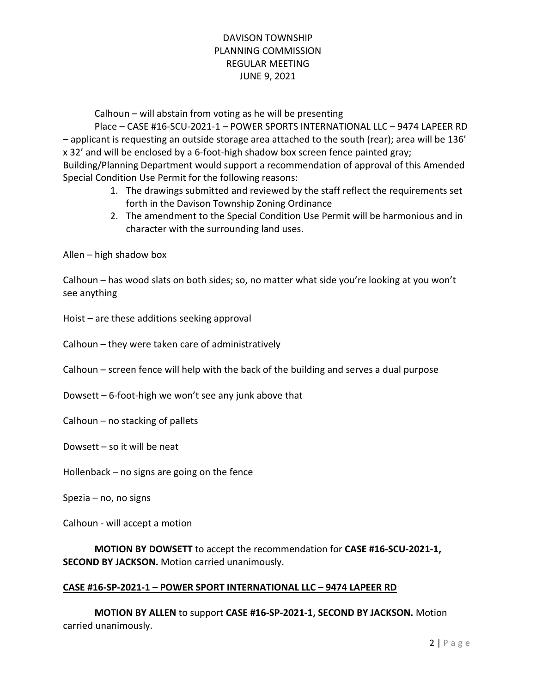Calhoun – will abstain from voting as he will be presenting

 Place – CASE #16-SCU-2021-1 – POWER SPORTS INTERNATIONAL LLC – 9474 LAPEER RD – applicant is requesting an outside storage area attached to the south (rear); area will be 136' x 32' and will be enclosed by a 6-foot-high shadow box screen fence painted gray; Building/Planning Department would support a recommendation of approval of this Amended Special Condition Use Permit for the following reasons:

- 1. The drawings submitted and reviewed by the staff reflect the requirements set forth in the Davison Township Zoning Ordinance
- 2. The amendment to the Special Condition Use Permit will be harmonious and in character with the surrounding land uses.

Allen – high shadow box

Calhoun – has wood slats on both sides; so, no matter what side you're looking at you won't see anything

Hoist – are these additions seeking approval

Calhoun – they were taken care of administratively

Calhoun – screen fence will help with the back of the building and serves a dual purpose

Dowsett – 6-foot-high we won't see any junk above that

Calhoun – no stacking of pallets

Dowsett – so it will be neat

Hollenback – no signs are going on the fence

Spezia – no, no signs

Calhoun - will accept a motion

MOTION BY DOWSETT to accept the recommendation for CASE #16-SCU-2021-1, SECOND BY JACKSON. Motion carried unanimously.

### CASE #16-SP-2021-1 – POWER SPORT INTERNATIONAL LLC – 9474 LAPEER RD

MOTION BY ALLEN to support CASE #16-SP-2021-1, SECOND BY JACKSON. Motion carried unanimously.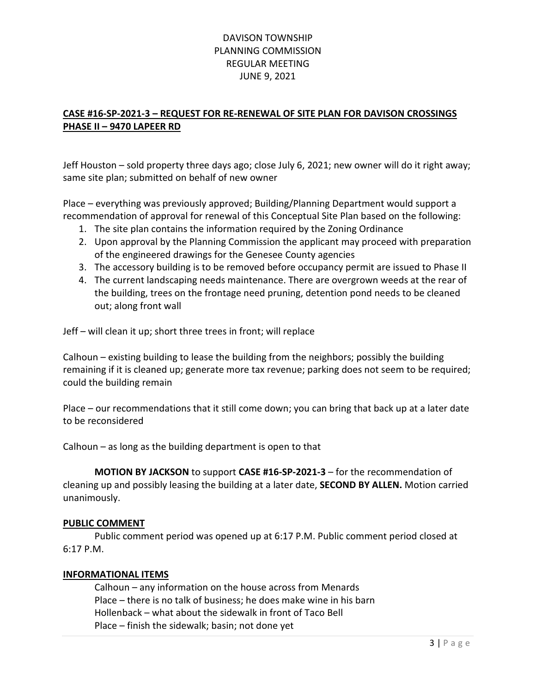## CASE #16-SP-2021-3 – REQUEST FOR RE-RENEWAL OF SITE PLAN FOR DAVISON CROSSINGS PHASE II – 9470 LAPEER RD

Jeff Houston – sold property three days ago; close July 6, 2021; new owner will do it right away; same site plan; submitted on behalf of new owner

Place – everything was previously approved; Building/Planning Department would support a recommendation of approval for renewal of this Conceptual Site Plan based on the following:

- 1. The site plan contains the information required by the Zoning Ordinance
- 2. Upon approval by the Planning Commission the applicant may proceed with preparation of the engineered drawings for the Genesee County agencies
- 3. The accessory building is to be removed before occupancy permit are issued to Phase II
- 4. The current landscaping needs maintenance. There are overgrown weeds at the rear of the building, trees on the frontage need pruning, detention pond needs to be cleaned out; along front wall

Jeff – will clean it up; short three trees in front; will replace

Calhoun – existing building to lease the building from the neighbors; possibly the building remaining if it is cleaned up; generate more tax revenue; parking does not seem to be required; could the building remain

Place – our recommendations that it still come down; you can bring that back up at a later date to be reconsidered

Calhoun – as long as the building department is open to that

MOTION BY JACKSON to support CASE #16-SP-2021-3 – for the recommendation of cleaning up and possibly leasing the building at a later date, SECOND BY ALLEN. Motion carried unanimously.

### PUBLIC COMMENT

Public comment period was opened up at 6:17 P.M. Public comment period closed at 6:17 P.M.

### INFORMATIONAL ITEMS

 Calhoun – any information on the house across from Menards Place – there is no talk of business; he does make wine in his barn Hollenback – what about the sidewalk in front of Taco Bell Place – finish the sidewalk; basin; not done yet